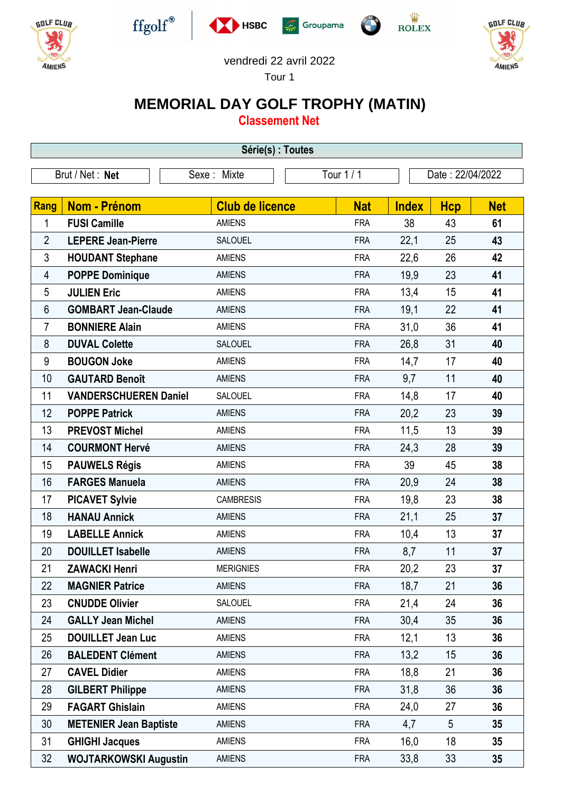











## vendredi 22 avril 2022

Tour 1

## **MEMORIAL DAY GOLF TROPHY (MATIN)**

**Classement Net**

| Série(s) : Toutes |                               |                        |            |              |                  |            |
|-------------------|-------------------------------|------------------------|------------|--------------|------------------|------------|
| Brut / Net: Net   |                               | Sexe: Mixte            | Tour 1/1   |              | Date: 22/04/2022 |            |
|                   |                               |                        |            |              |                  |            |
| Rang              | Nom - Prénom                  | <b>Club de licence</b> | <b>Nat</b> | <b>Index</b> | <b>Hcp</b>       | <b>Net</b> |
| 1                 | <b>FUSI Camille</b>           | <b>AMIENS</b>          | <b>FRA</b> | 38           | 43               | 61         |
| $\overline{2}$    | <b>LEPERE Jean-Pierre</b>     | SALOUEL                | <b>FRA</b> | 22,1         | 25               | 43         |
| $\mathfrak{Z}$    | <b>HOUDANT Stephane</b>       | <b>AMIENS</b>          | <b>FRA</b> | 22,6         | 26               | 42         |
| 4                 | <b>POPPE Dominique</b>        | <b>AMIENS</b>          | <b>FRA</b> | 19,9         | 23               | 41         |
| 5                 | <b>JULIEN Eric</b>            | <b>AMIENS</b>          | <b>FRA</b> | 13,4         | 15               | 41         |
| 6                 | <b>GOMBART Jean-Claude</b>    | <b>AMIENS</b>          | <b>FRA</b> | 19,1         | 22               | 41         |
| 7                 | <b>BONNIERE Alain</b>         | <b>AMIENS</b>          | <b>FRA</b> | 31,0         | 36               | 41         |
| 8                 | <b>DUVAL Colette</b>          | <b>SALOUEL</b>         | <b>FRA</b> | 26,8         | 31               | 40         |
| 9                 | <b>BOUGON Joke</b>            | <b>AMIENS</b>          | <b>FRA</b> | 14,7         | 17               | 40         |
| 10                | <b>GAUTARD Benoît</b>         | <b>AMIENS</b>          | <b>FRA</b> | 9,7          | 11               | 40         |
| 11                | <b>VANDERSCHUEREN Daniel</b>  | <b>SALOUEL</b>         | <b>FRA</b> | 14,8         | 17               | 40         |
| 12                | <b>POPPE Patrick</b>          | <b>AMIENS</b>          | <b>FRA</b> | 20,2         | 23               | 39         |
| 13                | <b>PREVOST Michel</b>         | <b>AMIENS</b>          | <b>FRA</b> | 11,5         | 13               | 39         |
| 14                | <b>COURMONT Hervé</b>         | <b>AMIENS</b>          | <b>FRA</b> | 24,3         | 28               | 39         |
| 15                | <b>PAUWELS Régis</b>          | <b>AMIENS</b>          | <b>FRA</b> | 39           | 45               | 38         |
| 16                | <b>FARGES Manuela</b>         | <b>AMIENS</b>          | <b>FRA</b> | 20,9         | 24               | 38         |
| 17                | <b>PICAVET Sylvie</b>         | <b>CAMBRESIS</b>       | <b>FRA</b> | 19,8         | 23               | 38         |
| 18                | <b>HANAU Annick</b>           | <b>AMIENS</b>          | <b>FRA</b> | 21,1         | 25               | 37         |
| 19                | <b>LABELLE Annick</b>         | <b>AMIENS</b>          | <b>FRA</b> | 10,4         | 13               | 37         |
| 20                | <b>DOUILLET Isabelle</b>      | <b>AMIENS</b>          | <b>FRA</b> | 8,7          | 11               | 37         |
| 21                | <b>ZAWACKI Henri</b>          | <b>MERIGNIES</b>       | <b>FRA</b> | 20,2         | 23               | 37         |
| 22                | <b>MAGNIER Patrice</b>        | <b>AMIENS</b>          | <b>FRA</b> | 18,7         | 21               | 36         |
| 23                | <b>CNUDDE Olivier</b>         | SALOUEL                | <b>FRA</b> | 21,4         | 24               | 36         |
| 24                | <b>GALLY Jean Michel</b>      | <b>AMIENS</b>          | <b>FRA</b> | 30,4         | 35               | 36         |
| 25                | <b>DOUILLET Jean Luc</b>      | <b>AMIENS</b>          | <b>FRA</b> | 12,1         | 13               | 36         |
| 26                | <b>BALEDENT Clément</b>       | <b>AMIENS</b>          | <b>FRA</b> | 13,2         | 15               | 36         |
| 27                | <b>CAVEL Didier</b>           | <b>AMIENS</b>          | <b>FRA</b> | 18,8         | 21               | 36         |
| 28                | <b>GILBERT Philippe</b>       | <b>AMIENS</b>          | <b>FRA</b> | 31,8         | 36               | 36         |
| 29                | <b>FAGART Ghislain</b>        | <b>AMIENS</b>          | <b>FRA</b> | 24,0         | 27               | 36         |
| 30                | <b>METENIER Jean Baptiste</b> | <b>AMIENS</b>          | <b>FRA</b> | 4,7          | 5                | 35         |
| 31                | <b>GHIGHI Jacques</b>         | <b>AMIENS</b>          | <b>FRA</b> | 16,0         | 18               | 35         |
| 32                | <b>WOJTARKOWSKI Augustin</b>  | <b>AMIENS</b>          | <b>FRA</b> | 33,8         | 33               | 35         |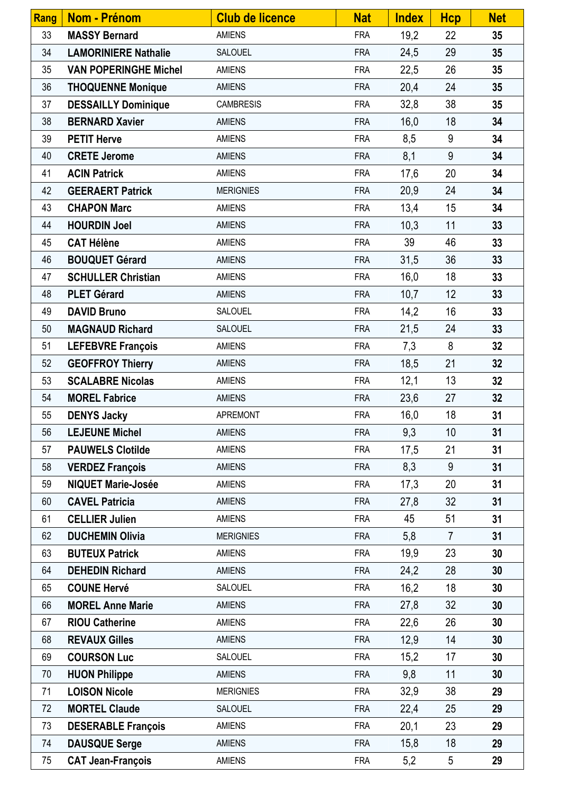| Rang | <b>Nom - Prénom</b>          | <b>Club de licence</b> | <b>Nat</b> | <b>Index</b> | <b>Hcp</b>      | <b>Net</b> |
|------|------------------------------|------------------------|------------|--------------|-----------------|------------|
| 33   | <b>MASSY Bernard</b>         | <b>AMIENS</b>          | <b>FRA</b> | 19,2         | 22              | 35         |
| 34   | <b>LAMORINIERE Nathalie</b>  | SALOUEL                | <b>FRA</b> | 24,5         | 29              | 35         |
| 35   | <b>VAN POPERINGHE Michel</b> | <b>AMIENS</b>          | <b>FRA</b> | 22,5         | 26              | 35         |
| 36   | <b>THOQUENNE Monique</b>     | <b>AMIENS</b>          | <b>FRA</b> | 20,4         | 24              | 35         |
| 37   | <b>DESSAILLY Dominique</b>   | <b>CAMBRESIS</b>       | <b>FRA</b> | 32,8         | 38              | 35         |
| 38   | <b>BERNARD Xavier</b>        | <b>AMIENS</b>          | <b>FRA</b> | 16,0         | 18              | 34         |
| 39   | <b>PETIT Herve</b>           | <b>AMIENS</b>          | <b>FRA</b> | 8,5          | 9               | 34         |
| 40   | <b>CRETE Jerome</b>          | <b>AMIENS</b>          | <b>FRA</b> | 8,1          | 9               | 34         |
| 41   | <b>ACIN Patrick</b>          | <b>AMIENS</b>          | <b>FRA</b> | 17,6         | 20              | 34         |
| 42   | <b>GEERAERT Patrick</b>      | <b>MERIGNIES</b>       | <b>FRA</b> | 20,9         | 24              | 34         |
| 43   | <b>CHAPON Marc</b>           | <b>AMIENS</b>          | <b>FRA</b> | 13,4         | 15              | 34         |
| 44   | <b>HOURDIN Joel</b>          | <b>AMIENS</b>          | <b>FRA</b> | 10,3         | 11              | 33         |
| 45   | <b>CAT Hélène</b>            | <b>AMIENS</b>          | <b>FRA</b> | 39           | 46              | 33         |
| 46   | <b>BOUQUET Gérard</b>        | <b>AMIENS</b>          | <b>FRA</b> | 31,5         | 36              | 33         |
| 47   | <b>SCHULLER Christian</b>    | <b>AMIENS</b>          | <b>FRA</b> | 16,0         | 18              | 33         |
| 48   | <b>PLET Gérard</b>           | <b>AMIENS</b>          | <b>FRA</b> | 10,7         | 12              | 33         |
| 49   | <b>DAVID Bruno</b>           | SALOUEL                | <b>FRA</b> | 14,2         | 16              | 33         |
| 50   | <b>MAGNAUD Richard</b>       | SALOUEL                | <b>FRA</b> | 21,5         | 24              | 33         |
| 51   | <b>LEFEBVRE François</b>     | <b>AMIENS</b>          | <b>FRA</b> | 7,3          | 8               | 32         |
| 52   | <b>GEOFFROY Thierry</b>      | <b>AMIENS</b>          | <b>FRA</b> | 18,5         | 21              | 32         |
| 53   | <b>SCALABRE Nicolas</b>      | <b>AMIENS</b>          | <b>FRA</b> | 12,1         | 13              | 32         |
| 54   | <b>MOREL Fabrice</b>         | <b>AMIENS</b>          | <b>FRA</b> | 23,6         | 27              | 32         |
| 55   | <b>DENYS Jacky</b>           | <b>APREMONT</b>        | <b>FRA</b> | 16,0         | 18              | 31         |
| 56   | <b>LEJEUNE Michel</b>        | <b>AMIENS</b>          | <b>FRA</b> | 9,3          | 10 <sup>°</sup> | 31         |
| 57   | <b>PAUWELS Clotilde</b>      | <b>AMIENS</b>          | <b>FRA</b> | 17,5         | 21              | 31         |
| 58   | <b>VERDEZ François</b>       | <b>AMIENS</b>          | <b>FRA</b> | 8,3          | 9               | 31         |
| 59   | <b>NIQUET Marie-Josée</b>    | <b>AMIENS</b>          | <b>FRA</b> | 17,3         | 20              | 31         |
| 60   | <b>CAVEL Patricia</b>        | <b>AMIENS</b>          | <b>FRA</b> | 27,8         | 32              | 31         |
| 61   | <b>CELLIER Julien</b>        | <b>AMIENS</b>          | <b>FRA</b> | 45           | 51              | 31         |
| 62   | <b>DUCHEMIN Olivia</b>       | <b>MERIGNIES</b>       | <b>FRA</b> | 5,8          | $\overline{7}$  | 31         |
| 63   | <b>BUTEUX Patrick</b>        | <b>AMIENS</b>          | <b>FRA</b> | 19,9         | 23              | 30         |
| 64   | <b>DEHEDIN Richard</b>       | <b>AMIENS</b>          | <b>FRA</b> | 24,2         | 28              | 30         |
| 65   | <b>COUNE Hervé</b>           | SALOUEL                | <b>FRA</b> | 16,2         | 18              | 30         |
| 66   | <b>MOREL Anne Marie</b>      | <b>AMIENS</b>          | <b>FRA</b> | 27,8         | 32              | 30         |
| 67   | <b>RIOU Catherine</b>        | <b>AMIENS</b>          | <b>FRA</b> | 22,6         | 26              | 30         |
| 68   | <b>REVAUX Gilles</b>         | <b>AMIENS</b>          | <b>FRA</b> | 12,9         | 14              | 30         |
| 69   | <b>COURSON Luc</b>           | SALOUEL                | <b>FRA</b> | 15,2         | 17              | 30         |
| 70   | <b>HUON Philippe</b>         | <b>AMIENS</b>          | <b>FRA</b> | 9,8          | 11              | 30         |
| 71   | <b>LOISON Nicole</b>         | <b>MERIGNIES</b>       | <b>FRA</b> | 32,9         | 38              | 29         |
| 72   | <b>MORTEL Claude</b>         | <b>SALOUEL</b>         | <b>FRA</b> | 22,4         | 25              | 29         |
| 73   | <b>DESERABLE François</b>    | <b>AMIENS</b>          | <b>FRA</b> | 20,1         | 23              | 29         |
| 74   | <b>DAUSQUE Serge</b>         | <b>AMIENS</b>          | <b>FRA</b> | 15,8         | 18              | 29         |
| 75   | <b>CAT Jean-François</b>     | <b>AMIENS</b>          | <b>FRA</b> | 5,2          | 5               | 29         |